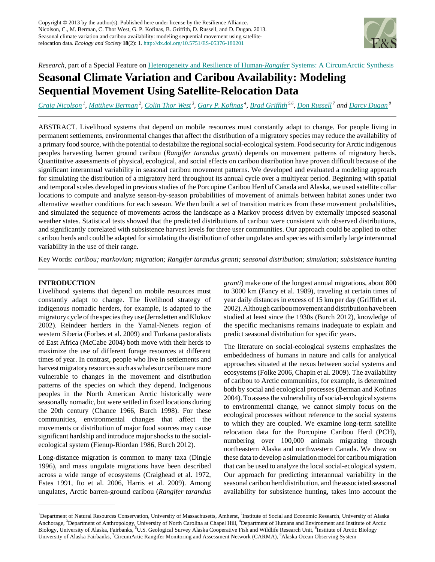

*Research*, part of a Special Feature on [Heterogeneity and Resilience of Human-](http://www.ecologyandsociety.org/viewissue.php?sf=58)*[Rangifer](http://www.ecologyandsociety.org/viewissue.php?sf=58)* [Systems: A CircumArctic Synthesis](http://www.ecologyandsociety.org/viewissue.php?sf=58)

# **Seasonal Climate Variation and Caribou Availability: Modeling Sequential Movement Using Satellite-Relocation Data**

[Craig Nicolson](mailto:craign@eco.umass.edu)<sup>1</sup>, [Matthew Berman](mailto:matthew.berman@uaa.alaska.edu)<sup>2</sup>, [Colin Thor West](mailto:ctw@email.unc.edu)<sup>3</sup>, [Gary P. Kofinas](mailto:gpkofinas@alaska.edu)<sup>4</sup>, [Brad Griffith](mailto:dbgriffith@alaska.edu)<sup>5,6</sup>, [Don Russell](mailto:don.russell@ec.gc.ca)<sup>7</sup> and [Darcy Dugan](mailto:dugan@aoos.org)<sup>8</sup>

ABSTRACT. Livelihood systems that depend on mobile resources must constantly adapt to change. For people living in permanent settlements, environmental changes that affect the distribution of a migratory species may reduce the availability of a primary food source, with the potential to destabilize the regional social-ecological system. Food security for Arctic indigenous peoples harvesting barren ground caribou (*Rangifer tarandus granti*) depends on movement patterns of migratory herds. Quantitative assessments of physical, ecological, and social effects on caribou distribution have proven difficult because of the significant interannual variability in seasonal caribou movement patterns. We developed and evaluated a modeling approach for simulating the distribution of a migratory herd throughout its annual cycle over a multiyear period. Beginning with spatial and temporal scales developed in previous studies of the Porcupine Caribou Herd of Canada and Alaska, we used satellite collar locations to compute and analyze season-by-season probabilities of movement of animals between habitat zones under two alternative weather conditions for each season. We then built a set of transition matrices from these movement probabilities, and simulated the sequence of movements across the landscape as a Markov process driven by externally imposed seasonal weather states. Statistical tests showed that the predicted distributions of caribou were consistent with observed distributions, and significantly correlated with subsistence harvest levels for three user communities. Our approach could be applied to other caribou herds and could be adapted for simulating the distribution of other ungulates and species with similarly large interannual variability in the use of their range.

Key Words: *caribou; markovian; migration; Rangifer tarandus granti; seasonal distribution; simulation; subsistence hunting*

#### **INTRODUCTION**

Livelihood systems that depend on mobile resources must constantly adapt to change. The livelihood strategy of indigenous nomadic herders, for example, is adapted to the migratory cycle of the species they use (Jernsletten and Klokov 2002). Reindeer herders in the Yamal-Nenets region of western Siberia (Forbes et al. 2009) and Turkana pastoralists of East Africa (McCabe 2004) both move with their herds to maximize the use of different forage resources at different times of year. In contrast, people who live in settlements and harvest migratory resources such as whales or caribou are more vulnerable to changes in the movement and distribution patterns of the species on which they depend. Indigenous peoples in the North American Arctic historically were seasonally nomadic, but were settled in fixed locations during the 20th century (Chance 1966, Burch 1998). For these communities, environmental changes that affect the movements or distribution of major food sources may cause significant hardship and introduce major shocks to the socialecological system (Fienup-Riordan 1986, Burch 2012).

Long-distance migration is common to many taxa (Dingle 1996), and mass ungulate migrations have been described across a wide range of ecosystems (Craighead et al. 1972, Estes 1991, Ito et al. 2006, Harris et al. 2009). Among ungulates, Arctic barren-ground caribou (*Rangifer tarandus* *granti*) make one of the longest annual migrations, about 800 to 3000 km (Fancy et al. 1989), traveling at certain times of year daily distances in excess of 15 km per day (Griffith et al. 2002). Although caribou movement and distribution have been studied at least since the 1930s (Burch 2012), knowledge of the specific mechanisms remains inadequate to explain and predict seasonal distribution for specific years.

The literature on social-ecological systems emphasizes the embeddedness of humans in nature and calls for analytical approaches situated at the nexus between social systems and ecosystems (Folke 2006, Chapin et al. 2009). The availability of caribou to Arctic communities, for example, is determined both by social and ecological processes (Berman and Kofinas 2004). To assess the vulnerability of social-ecological systems to environmental change, we cannot simply focus on the ecological processes without reference to the social systems to which they are coupled. We examine long-term satellite relocation data for the Porcupine Caribou Herd (PCH), numbering over 100,000 animals migrating through northeastern Alaska and northwestern Canada. We draw on these data to develop a simulation model for caribou migration that can be used to analyze the local social-ecological system. Our approach for predicting interannual variability in the seasonal caribou herd distribution, and the associated seasonal availability for subsistence hunting, takes into account the

<sup>&</sup>lt;sup>1</sup>Department of Natural Resources Conservation, University of Massachusetts, Amherst, <sup>2</sup>Institute of Social and Economic Research, University of Alaska Anchorage, <sup>3</sup>Department of Anthropology, University of North Carolina at Chapel Hill, <sup>4</sup>Department of Humans and Environment and Institute of Arctic Biology, University of Alaska, Fairbanks, <sup>5</sup>U.S. Geological Survey Alaska Cooperative Fish and Wildlife Research Unit, <sup>6</sup>Institute of Arctic Biology University of Alaska Fairbanks, 'CircumArtic Rangifer Monitoring and Assessment Network (CARMA),  $A$ laska Ocean Observing System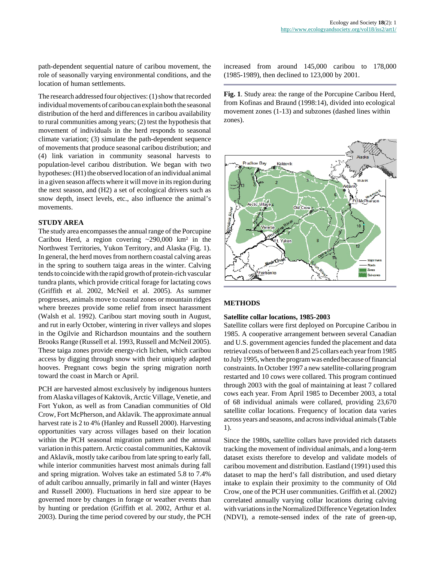path-dependent sequential nature of caribou movement, the role of seasonally varying environmental conditions, and the location of human settlements.

The research addressed four objectives: (1) show that recorded individual movements of caribou can explain both the seasonal distribution of the herd and differences in caribou availability to rural communities among years; (2) test the hypothesis that movement of individuals in the herd responds to seasonal climate variation; (3) simulate the path-dependent sequence of movements that produce seasonal caribou distribution; and (4) link variation in community seasonal harvests to population-level caribou distribution. We began with two hypotheses: (H1) the observed location of an individual animal in a given season affects where it will move in its region during the next season, and (H2) a set of ecological drivers such as snow depth, insect levels, etc., also influence the animal's movements.

#### **STUDY AREA**

The study area encompasses the annual range of the Porcupine Caribou Herd, a region covering ~290,000 km² in the Northwest Territories, Yukon Territory, and Alaska (Fig. 1). In general, the herd moves from northern coastal calving areas in the spring to southern taiga areas in the winter. Calving tends to coincide with the rapid growth of protein-rich vascular tundra plants, which provide critical forage for lactating cows (Griffith et al. 2002, McNeil et al. 2005). As summer progresses, animals move to coastal zones or mountain ridges where breezes provide some relief from insect harassment (Walsh et al. 1992). Caribou start moving south in August, and rut in early October, wintering in river valleys and slopes in the Ogilvie and Richardson mountains and the southern Brooks Range (Russell et al. 1993, Russell and McNeil 2005). These taiga zones provide energy-rich lichen, which caribou access by digging through snow with their uniquely adapted hooves. Pregnant cows begin the spring migration north toward the coast in March or April.

PCH are harvested almost exclusively by indigenous hunters from Alaska villages of Kaktovik, Arctic Village, Venetie, and Fort Yukon, as well as from Canadian communities of Old Crow, Fort McPherson, and Aklavik. The approximate annual harvest rate is 2 to 4% (Hanley and Russell 2000). Harvesting opportunities vary across villages based on their location within the PCH seasonal migration pattern and the annual variation in this pattern. Arctic coastal communities, Kaktovik and Aklavik, mostly take caribou from late spring to early fall, while interior communities harvest most animals during fall and spring migration. Wolves take an estimated 5.8 to 7.4% of adult caribou annually, primarily in fall and winter (Hayes and Russell 2000). Fluctuations in herd size appear to be governed more by changes in forage or weather events than by hunting or predation (Griffith et al. 2002, Arthur et al. 2003). During the time period covered by our study, the PCH increased from around 145,000 caribou to 178,000 (1985-1989), then declined to 123,000 by 2001.

**Fig. 1**. Study area: the range of the Porcupine Caribou Herd, from Kofinas and Braund (1998:14), divided into ecological movement zones (1-13) and subzones (dashed lines within zones).



#### **METHODS**

#### **Satellite collar locations, 1985-2003**

Satellite collars were first deployed on Porcupine Caribou in 1985. A cooperative arrangement between several Canadian and U.S. government agencies funded the placement and data retrieval costs of between 8 and 25 collars each year from 1985 to July 1995, when the program was ended because of financial constraints. In October 1997 a new satellite-collaring program restarted and 10 cows were collared. This program continued through 2003 with the goal of maintaining at least 7 collared cows each year. From April 1985 to December 2003, a total of 68 individual animals were collared, providing 23,670 satellite collar locations. Frequency of location data varies across years and seasons, and across individual animals (Table 1).

Since the 1980s, satellite collars have provided rich datasets tracking the movement of individual animals, and a long-term dataset exists therefore to develop and validate models of caribou movement and distribution. Eastland (1991) used this dataset to map the herd's fall distribution, and used dietary intake to explain their proximity to the community of Old Crow, one of the PCH user communities. Griffith et al. (2002) correlated annually varying collar locations during calving with variations in the Normalized Difference Vegetation Index (NDVI), a remote-sensed index of the rate of green-up,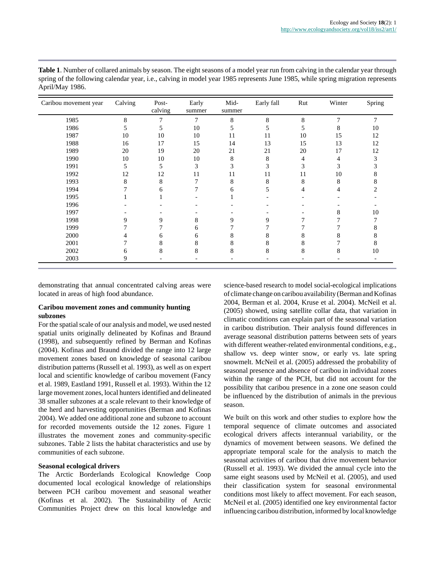| Caribou movement year | Calving | Post-<br>calving | Early<br>summer | Mid-<br>summer | Early fall | Rut | Winter        | Spring         |
|-----------------------|---------|------------------|-----------------|----------------|------------|-----|---------------|----------------|
| 1985                  | 8       | $\overline{7}$   | 7               | 8              | 8          | 8   | $\mathcal{I}$ | $\overline{7}$ |
| 1986                  |         | 5                | 10              | 5              | 5          | 5   | 8             | 10             |
| 1987                  | 10      | 10               | 10              | 11             | 11         | 10  | 15            | 12             |
| 1988                  | 16      | 17               | 15              | 14             | 13         | 15  | 13            | 12             |
| 1989                  | 20      | 19               | 20              | 21             | 21         | 20  | 17            | 12             |
| 1990                  | 10      | 10               | 10              | 8              | 8          | 4   |               | 3              |
| 1991                  | 5       | 5                | 3               | 3              | 3          | 3   | 3             |                |
| 1992                  | 12      | 12               | 11              | 11             | 11         | 11  | 10            |                |
| 1993                  | 8       | 8                |                 | 8              | 8          | 8   | 8             |                |
| 1994                  |         | 6                |                 | 6              | 5          | 4   |               |                |
| 1995                  |         |                  |                 |                |            |     |               |                |
| 1996                  |         |                  |                 |                |            |     |               |                |
| 1997                  |         |                  |                 |                |            |     | 8             | 10             |
| 1998                  | 9       | 9                | 8               | 9              | 9          |     |               |                |
| 1999                  |         |                  | 6               |                |            |     |               |                |
| 2000                  |         |                  | 6               |                | 8          | 8   |               |                |
| 2001                  |         | 8                | 8               | 8              | 8          | 8   |               |                |
| 2002                  | 6       | 8                | 8               | 8              | 8          | 8   | 8             | 10             |
| 2003                  | 9       |                  |                 |                |            |     |               |                |

| Table 1. Number of collared animals by season. The eight seasons of a model year run from calving in the calendar year through  |
|---------------------------------------------------------------------------------------------------------------------------------|
| spring of the following calendar year, i.e., calving in model year 1985 represents June 1985, while spring migration represents |
| April/May 1986.                                                                                                                 |

demonstrating that annual concentrated calving areas were located in areas of high food abundance.

#### **Caribou movement zones and community hunting subzones**

For the spatial scale of our analysis and model, we used nested spatial units originally delineated by Kofinas and Braund (1998), and subsequently refined by Berman and Kofinas (2004). Kofinas and Braund divided the range into 12 large movement zones based on knowledge of seasonal caribou distribution patterns (Russell et al. 1993), as well as on expert local and scientific knowledge of caribou movement (Fancy et al. 1989, Eastland 1991, Russell et al. 1993). Within the 12 large movement zones, local hunters identified and delineated 38 smaller subzones at a scale relevant to their knowledge of the herd and harvesting opportunities (Berman and Kofinas 2004). We added one additional zone and subzone to account for recorded movements outside the 12 zones. Figure 1 illustrates the movement zones and community-specific subzones. Table 2 lists the habitat characteristics and use by communities of each subzone.

#### **Seasonal ecological drivers**

The Arctic Borderlands Ecological Knowledge Coop documented local ecological knowledge of relationships between PCH caribou movement and seasonal weather (Kofinas et al. 2002). The Sustainability of Arctic Communities Project drew on this local knowledge and science-based research to model social-ecological implications of climate change on caribou availability (Berman and Kofinas 2004, Berman et al. 2004, Kruse et al. 2004). McNeil et al. (2005) showed, using satellite collar data, that variation in climatic conditions can explain part of the seasonal variation in caribou distribution. Their analysis found differences in average seasonal distribution patterns between sets of years with different weather-related environmental conditions, e.g., shallow vs. deep winter snow, or early vs. late spring snowmelt. McNeil et al. (2005) addressed the probability of seasonal presence and absence of caribou in individual zones within the range of the PCH, but did not account for the possibility that caribou presence in a zone one season could be influenced by the distribution of animals in the previous season.

We built on this work and other studies to explore how the temporal sequence of climate outcomes and associated ecological drivers affects interannual variability, or the dynamics of movement between seasons. We defined the appropriate temporal scale for the analysis to match the seasonal activities of caribou that drive movement behavior (Russell et al. 1993). We divided the annual cycle into the same eight seasons used by McNeil et al. (2005), and used their classification system for seasonal environmental conditions most likely to affect movement. For each season, McNeil et al. (2005) identified one key environmental factor influencing caribou distribution, informed by local knowledge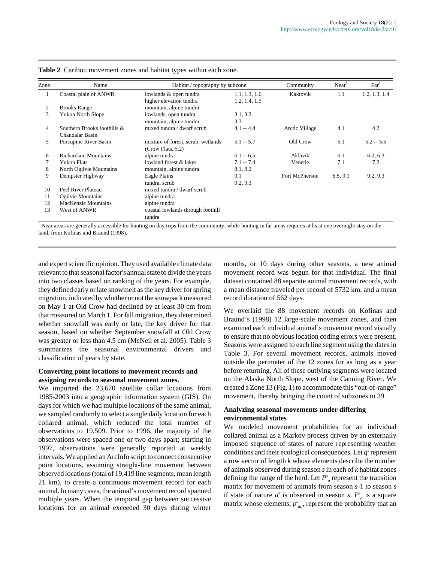| Zone | Name                                           | Habitat / topography by subzone                         |                                | Community      | $Near$ <sup><math>\overline{ }</math></sup> | $Far^{\dagger}$ |
|------|------------------------------------------------|---------------------------------------------------------|--------------------------------|----------------|---------------------------------------------|-----------------|
| 1.   | Coastal plain of ANWR                          | lowlands & open tundra<br>higher elevation tundra       | 1.1, 1.3, 1.6<br>1.2, 1.4, 1.5 | Kaktovik       | 1.1                                         | 1.2, 1.3, 1.4   |
| 2    | <b>Brooks Range</b>                            | mountain, alpine tundra                                 |                                |                |                                             |                 |
| 3    | <b>Yukon North Slope</b>                       | lowlands, open tundra                                   | 3.1, 3.2                       |                |                                             |                 |
|      |                                                | mountain, alpine tundra                                 | 3.3                            |                |                                             |                 |
| 4    | Southern Brooks foothills &<br>Chandalar Basin | mixed tundra / dwarf scrub                              | $4.1 - 4.4$                    | Arctic Village | 4.1                                         | 4.2             |
| 5    | Porcupine River Basin                          | mixture of forest, scrub, wetlands<br>(Crow Flats, 5.2) | $5.1 - 5.7$                    | Old Crow       | 5.1                                         | $5.2 - 5.5$     |
| 6    | Richardson Mountains                           | alpine tundra                                           | $6.1 - 6.5$                    | Aklavik        | 6.1                                         | 6.2, 6.3        |
|      | <b>Yukon Flats</b>                             | lowland forest & lakes                                  | $7.1 - 7.4$                    | Venetie        | 7.1                                         | 7.2             |
| 8    | North Ogilvie Mountains                        | mountain, alpine tundra                                 | 8.1, 8.2                       |                |                                             |                 |
| 9    | Dempster Highway                               | Eagle Plains                                            | 9.1                            | Fort McPherson | 6.5, 9.1                                    | 9.2, 9.3        |
|      |                                                | tundra, scrub                                           | 9.2, 9.3                       |                |                                             |                 |
| 10   | Peel River Plateau                             | mixed tundra / dwarf scrub                              |                                |                |                                             |                 |
| 11   | Ogilvie Mountains                              | alpine tundra                                           |                                |                |                                             |                 |
| 12   | MacKenzie Mountains                            | alpine tundra                                           |                                |                |                                             |                 |
| 13   | West of ANWR                                   | coastal lowlands through foothill                       |                                |                |                                             |                 |
|      |                                                | tundra                                                  |                                |                |                                             |                 |

**Table 2**. Caribou movement zones and habitat types within each zone.

† Near areas are generally accessible for hunting on day trips from the community, while hunting in far areas requires at least one overnight stay on the land, from Kofinas and Braund (1998).

and expert scientific opinion. They used available climate data relevant to that seasonal factor's annual state to divide the years into two classes based on ranking of the years. For example, they defined early or late snowmelt as the key driver for spring migration, indicated by whether or not the snowpack measured on May 1 at Old Crow had declined by at least 30 cm from that measured on March 1. For fall migration, they determined whether snowfall was early or late, the key driver for that season, based on whether September snowfall at Old Crow was greater or less than 4.5 cm (McNeil et al. 2005). Table 3 summarizes the seasonal environmental drivers and classification of years by state.

#### **Converting point locations to movement records and assigning records to seasonal movement zones.**

We imported the 23,670 satellite collar locations from 1985-2003 into a geographic information system (GIS). On days for which we had multiple locations of the same animal, we sampled randomly to select a single daily location for each collared animal, which reduced the total number of observations to 19,509. Prior to 1996, the majority of the observations were spaced one or two days apart; starting in 1997, observations were generally reported at weekly intervals. We applied an ArcInfo script to connect consecutive point locations, assuming straight-line movement between observed locations (total of 19,419 line segments, mean length 21 km), to create a continuous movement record for each animal. In many cases, the animal's movement record spanned multiple years. When the temporal gap between successive locations for an animal exceeded 30 days during winter months, or 10 days during other seasons, a new animal movement record was begun for that individual. The final dataset contained 88 separate animal movement records, with a mean distance traveled per record of 5732 km, and a mean record duration of 562 days.

We overlaid the 88 movement records on Kofinas and Braund's (1998) 12 large-scale movement zones, and then examined each individual animal's movement record visually to ensure that no obvious location coding errors were present. Seasons were assigned to each line segment using the dates in Table 3. For several movement records, animals moved outside the perimeter of the 12 zones for as long as a year before returning. All of these outlying segments were located on the Alaska North Slope, west of the Canning River. We created a Zone 13 (Fig. 1) to accommodate this "out-of-range" movement, thereby bringing the count of subzones to 39.

#### **Analyzing seasonal movements under differing environmental states**

We modeled movement probabilities for an individual collared animal as a Markov process driven by an externally imposed sequence of states of nature representing weather conditions and their ecological consequences. Let  $q<sup>s</sup>$  represent a row vector of length *k* whose elements describe the number of animals observed during season *s* in each of *k* habitat zones defining the range of the herd. Let  $P^s$ <sub>a</sub> represent the transition matrix for movement of animals from season *s*-1 to season *s* if state of nature  $a^s$  is observed in season *s*.  $P^s_a$  is a square matrix whose elements,  $p^s_{aij}$ , represent the probability that an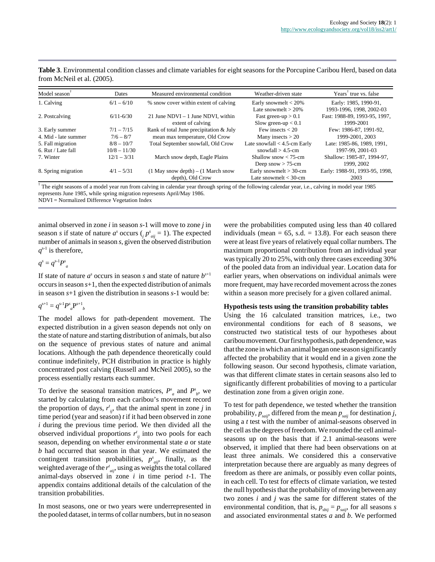| Model season         | Dates          | Measured environmental condition        | Weather-driven state            | Years <sup>†</sup> true vs. false |
|----------------------|----------------|-----------------------------------------|---------------------------------|-----------------------------------|
| 1. Calving           | $6/1 - 6/10$   | % snow cover within extent of calving   | Early snowmelt $<$ 20%          | Early: 1985, 1990-91,             |
|                      |                |                                         | Late snowmelt $>$ 20%           | 1993-1996, 1998, 2002-03          |
| 2. Postcalving       | $6/11 - 6/30$  | 21 June NDVI $-1$ June NDVI, within     | Fast green-up $> 0.1$           | Fast: 1988-89, 1993-95, 1997,     |
|                      |                | extent of calving                       | Slow green-up $< 0.1$           | 1999-2001                         |
| 3. Early summer      | $7/1 - 7/15$   | Rank of total June precipitation & July | Few insects $<$ 20              | Few: 1986-87, 1991-92.            |
| 4. Mid - late summer | $7/6 - 8/7$    | mean max temperature, Old Crow          | Many insects $> 20$             | 1999-2001, 2003                   |
| 5. Fall migration    | $8/8 - 10/7$   | Total September snowfall, Old Crow      | Late snowfall $< 4.5$ -cm Early | Late: 1985-86, 1989, 1991,        |
| $6.$ Rut / Late fall | $10/8 - 11/30$ |                                         | snowfall $> 4.5$ -cm            | 1997-99, 2001-03                  |
| 7. Winter            | $12/1 - 3/31$  | March snow depth, Eagle Plains          | Shallow snow $< 75$ -cm         | Shallow: 1985-87, 1994-97,        |
|                      |                |                                         | Deep snow $> 75$ -cm            | 1999, 2002                        |
| 8. Spring migration  | $4/1 - 5/31$   | $(1$ May snow depth) – $(1$ March snow  | Early snowmelt $>$ 30-cm        | Early: 1988-91, 1993-95, 1998,    |
|                      |                | depth), Old Crow                        | Late snowmelt $<$ 30-cm         | 2003                              |

**Table 3**. Environmental condition classes and climate variables for eight seasons for the Porcupine Caribou Herd, based on data from McNeil et al. (2005).

† The eight seasons of a model year run from calving in calendar year through spring of the following calendar year, i.e., calving in model year 1985 represents June 1985, while spring migration represents April/May 1986. NDVI = Normalized Difference Vegetation Index

animal observed in zone *i* in season *s*-1 will move to zone *j* in season *s* if state of nature  $a^s$  occurs ( $i \cdot p^s_{aij} = 1$ ). The expected number of animals in season *s*, given the observed distribution  $q^{s-1}$  is therefore,

 $q^s = q^{s-1} P^s$ 

If state of nature  $a^s$  occurs in season *s* and state of nature  $b^{s+1}$ occurs in season *s*+1, then the expected distribution of animals in season *s*+1 given the distribution in seasons *s*-1 would be:

$$
q^{s+1} = q^{s-1} P^s{}_a P^{s+1}{}_b
$$

The model allows for path-dependent movement. The expected distribution in a given season depends not only on the state of nature and starting distribution of animals, but also on the sequence of previous states of nature and animal locations. Although the path dependence theoretically could continue indefinitely, PCH distribution in practice is highly concentrated post calving (Russell and McNeil 2005), so the process essentially restarts each summer.

To derive the seasonal transition matrices,  $P^s_a$  and  $P^s_b$ , we started by calculating from each caribou's movement record the proportion of days,  $r'_{ij}$ , that the animal spent in zone *j* in time period (year and season) *t* if it had been observed in zone *i* during the previous time period. We then divided all the observed individual proportions  $r'_{ij}$  into two pools for each season, depending on whether environmental state *a* or state *b* had occurred that season in that year. We estimated the contingent transition probabilities,  $p^s_{aij}$ , finally, as the weighted average of the  $r'_{aij}$ , using as weights the total collared animal-days observed in zone *i* in time period *t*-1. The appendix contains additional details of the calculation of the transition probabilities.

In most seasons, one or two years were underrepresented in the pooled dataset, in terms of collar numbers, but in no season were the probabilities computed using less than 40 collared individuals (mean  $= 65$ , s.d.  $= 13.8$ ). For each season there were at least five years of relatively equal collar numbers. The maximum proportional contribution from an individual year was typically 20 to 25%, with only three cases exceeding 30% of the pooled data from an individual year. Location data for earlier years, when observations on individual animals were more frequent, may have recorded movement across the zones within a season more precisely for a given collared animal.

#### **Hypothesis tests using the transition probability tables**

Using the 16 calculated transition matrices, i.e., two environmental conditions for each of 8 seasons, we constructed two statistical tests of our hypotheses about caribou movement. Our first hypothesis, path dependence, was that the zone in which an animal began one season significantly affected the probability that it would end in a given zone the following season. Our second hypothesis, climate variation, was that different climate states in certain seasons also led to significantly different probabilities of moving to a particular destination zone from a given origin zone.

To test for path dependence, we tested whether the transition probability,  $p_{saij}$ , differed from the mean  $p_{saij}$  for destination *j*, using a *t* test with the number of animal-seasons observed in the cell as the degrees of freedom. We rounded the cell animalseasons up on the basis that if 2.1 animal-seasons were observed, it implied that there had been observations on at least three animals. We considered this a conservative interpretation because there are arguably as many degrees of freedom as there are animals, or possibly even collar points, in each cell. To test for effects of climate variation, we tested the null hypothesis that the probability of moving between any two zones *i* and *j* was the same for different states of the environmental condition, that is,  $p_{\text{b}ij} = p_{\text{s}aij}$ , for all seasons *s* and associated environmental states *a* and *b*. We performed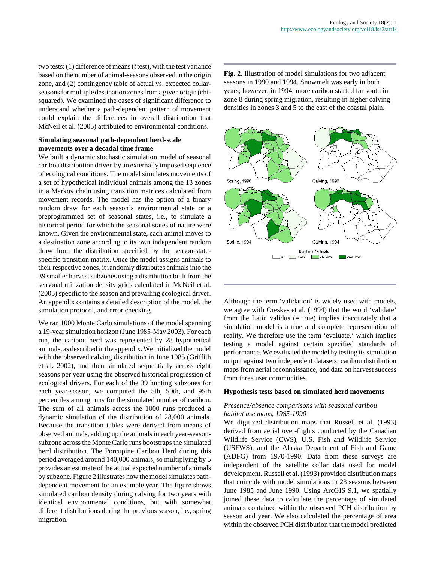two tests: (1) difference of means (*t* test), with the test variance based on the number of animal-seasons observed in the origin zone, and (2) contingency table of actual vs. expected collarseasons for multiple destination zones from a given origin (chisquared). We examined the cases of significant difference to understand whether a path-dependent pattern of movement could explain the differences in overall distribution that McNeil et al. (2005) attributed to environmental conditions.

#### **Simulating seasonal path-dependent herd-scale movements over a decadal time frame**

We built a dynamic stochastic simulation model of seasonal caribou distribution driven by an externally imposed sequence of ecological conditions. The model simulates movements of a set of hypothetical individual animals among the 13 zones in a Markov chain using transition matrices calculated from movement records. The model has the option of a binary random draw for each season's environmental state or a preprogrammed set of seasonal states, i.e., to simulate a historical period for which the seasonal states of nature were known. Given the environmental state, each animal moves to a destination zone according to its own independent random draw from the distribution specified by the season-statespecific transition matrix. Once the model assigns animals to their respective zones, it randomly distributes animals into the 39 smaller harvest subzones using a distribution built from the seasonal utilization density grids calculated in McNeil et al. (2005) specific to the season and prevailing ecological driver. An appendix contains a detailed description of the model, the simulation protocol, and error checking.

We ran 1000 Monte Carlo simulations of the model spanning a 19-year simulation horizon (June 1985-May 2003). For each run, the caribou herd was represented by 28 hypothetical animals, as described in the appendix. We initialized the model with the observed calving distribution in June 1985 (Griffith et al. 2002), and then simulated sequentially across eight seasons per year using the observed historical progression of ecological drivers. For each of the 39 hunting subzones for each year-season, we computed the 5th, 50th, and 95th percentiles among runs for the simulated number of caribou. The sum of all animals across the 1000 runs produced a dynamic simulation of the distribution of 28,000 animals. Because the transition tables were derived from means of observed animals, adding up the animals in each year-seasonsubzone across the Monte Carlo runs bootstraps the simulated herd distribution. The Porcupine Caribou Herd during this period averaged around 140,000 animals, so multiplying by 5 provides an estimate of the actual expected number of animals by subzone. Figure 2 illustrates how the model simulates pathdependent movement for an example year. The figure shows simulated caribou density during calving for two years with identical environmental conditions, but with somewhat different distributions during the previous season, i.e., spring migration.

**Fig. 2**. Illustration of model simulations for two adjacent seasons in 1990 and 1994. Snowmelt was early in both years; however, in 1994, more caribou started far south in zone 8 during spring migration, resulting in higher calving densities in zones 3 and 5 to the east of the coastal plain.



Although the term 'validation' is widely used with models, we agree with Oreskes et al. (1994) that the word 'validate' from the Latin validus  $(= true)$  implies inaccurately that a simulation model is a true and complete representation of reality. We therefore use the term 'evaluate,' which implies testing a model against certain specified standards of performance. We evaluated the model by testing its simulation output against two independent datasets: caribou distribution maps from aerial reconnaissance, and data on harvest success from three user communities.

#### **Hypothesis tests based on simulated herd movements**

#### *Presence/absence comparisons with seasonal caribou habitat use maps, 1985-1990*

We digitized distribution maps that Russell et al. (1993) derived from aerial over-flights conducted by the Canadian Wildlife Service (CWS), U.S. Fish and Wildlife Service (USFWS), and the Alaska Department of Fish and Game (ADFG) from 1970-1990. Data from these surveys are independent of the satellite collar data used for model development. Russell et al. (1993) provided distribution maps that coincide with model simulations in 23 seasons between June 1985 and June 1990. Using ArcGIS 9.1, we spatially joined these data to calculate the percentage of simulated animals contained within the observed PCH distribution by season and year. We also calculated the percentage of area within the observed PCH distribution that the model predicted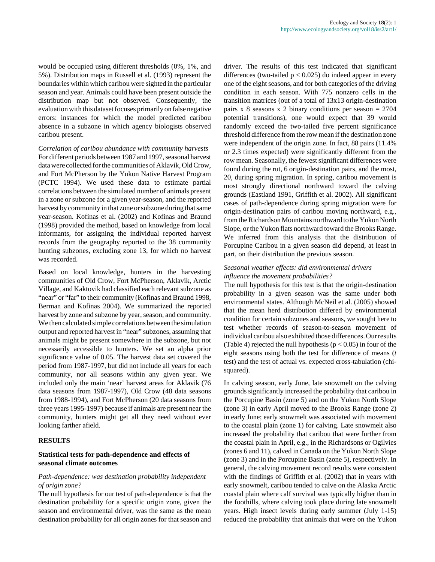would be occupied using different thresholds (0%, 1%, and 5%). Distribution maps in Russell et al. (1993) represent the boundaries within which caribou were sighted in the particular season and year. Animals could have been present outside the distribution map but not observed. Consequently, the evaluation with this dataset focuses primarily on false negative errors: instances for which the model predicted caribou absence in a subzone in which agency biologists observed caribou present.

*Correlation of caribou abundance with community harvests* For different periods between 1987 and 1997, seasonal harvest data were collected for the communities of Aklavik, Old Crow, and Fort McPherson by the Yukon Native Harvest Program (PCTC 1994). We used these data to estimate partial correlations between the simulated number of animals present in a zone or subzone for a given year-season, and the reported harvest by community in that zone or subzone during that same year-season. Kofinas et al. (2002) and Kofinas and Braund (1998) provided the method, based on knowledge from local informants, for assigning the individual reported harvest records from the geography reported to the 38 community hunting subzones, excluding zone 13, for which no harvest was recorded.

Based on local knowledge, hunters in the harvesting communities of Old Crow, Fort McPherson, Aklavik, Arctic Village, and Kaktovik had classified each relevant subzone as "near" or "far" to their community (Kofinas and Braund 1998, Berman and Kofinas 2004). We summarized the reported harvest by zone and subzone by year, season, and community. We then calculated simple correlations between the simulation output and reported harvest in "near" subzones, assuming that animals might be present somewhere in the subzone, but not necessarily accessible to hunters. We set an alpha prior significance value of 0.05. The harvest data set covered the period from 1987-1997, but did not include all years for each community, nor all seasons within any given year. We included only the main 'near' harvest areas for Aklavik (76 data seasons from 1987-1997), Old Crow (48 data seasons from 1988-1994), and Fort McPherson (20 data seasons from three years 1995-1997) because if animals are present near the community, hunters might get all they need without ever looking farther afield.

#### **RESULTS**

#### **Statistical tests for path-dependence and effects of seasonal climate outcomes**

#### *Path-dependence: was destination probability independent of origin zone?*

The null hypothesis for our test of path-dependence is that the destination probability for a specific origin zone, given the season and environmental driver, was the same as the mean destination probability for all origin zones for that season and driver. The results of this test indicated that significant differences (two-tailed  $p < 0.025$ ) do indeed appear in every one of the eight seasons, and for both categories of the driving condition in each season. With 775 nonzero cells in the transition matrices (out of a total of 13x13 origin-destination pairs x 8 seasons x 2 binary conditions per season  $= 2704$ potential transitions), one would expect that 39 would randomly exceed the two-tailed five percent significance threshold difference from the row mean if the destination zone were independent of the origin zone. In fact, 88 pairs (11.4% or 2.3 times expected) were significantly different from the row mean. Seasonally, the fewest significant differences were found during the rut, 6 origin-destination pairs, and the most, 20, during spring migration. In spring, caribou movement is most strongly directional northward toward the calving grounds (Eastland 1991, Griffith et al. 2002). All significant cases of path-dependence during spring migration were for origin-destination pairs of caribou moving northward, e.g., from the Richardson Mountains northward to the Yukon North Slope, or the Yukon flats northward toward the Brooks Range. We inferred from this analysis that the distribution of Porcupine Caribou in a given season did depend, at least in part, on their distribution the previous season.

### *Seasonal weather effects: did environmental drivers influence the movement probabilities?*

The null hypothesis for this test is that the origin-destination probability in a given season was the same under both environmental states. Although McNeil et al. (2005) showed that the mean herd distribution differed by environmental condition for certain subzones and seasons, we sought here to test whether records of season-to-season movement of individual caribou also exhibited those differences. Our results (Table 4) rejected the null hypothesis ( $p < 0.05$ ) in four of the eight seasons using both the test for difference of means (*t* test) and the test of actual vs. expected cross-tabulation (chisquared).

In calving season, early June, late snowmelt on the calving grounds significantly increased the probability that caribou in the Porcupine Basin (zone 5) and on the Yukon North Slope (zone 3) in early April moved to the Brooks Range (zone 2) in early June; early snowmelt was associated with movement to the coastal plain (zone 1) for calving. Late snowmelt also increased the probability that caribou that were further from the coastal plain in April, e.g., in the Richardsons or Ogilvies (zones 6 and 11), calved in Canada on the Yukon North Slope (zone 3) and in the Porcupine Basin (zone 5), respectively. In general, the calving movement record results were consistent with the findings of Griffith et al. (2002) that in years with early snowmelt, caribou tended to calve on the Alaska Arctic coastal plain where calf survival was typically higher than in the foothills, where calving took place during late snowmelt years. High insect levels during early summer (July 1-15) reduced the probability that animals that were on the Yukon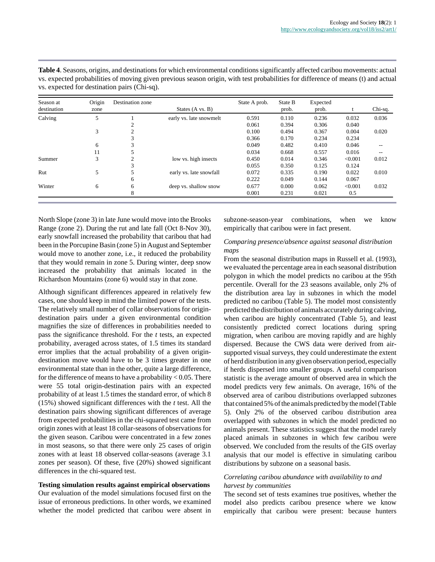| Season at<br>destination | Origin<br>zone | Destination zone | States (A vs. B)        | State A prob. | State B<br>prob. | Expected<br>prob. |         | Chi-sq. |
|--------------------------|----------------|------------------|-------------------------|---------------|------------------|-------------------|---------|---------|
| Calving                  | 5              |                  | early vs. late snowmelt | 0.591         | 0.110            | 0.236             | 0.032   | 0.036   |
|                          |                |                  |                         | 0.061         | 0.394            | 0.306             | 0.040   |         |
|                          | 3              | $\Omega$         |                         | 0.100         | 0.494            | 0.367             | 0.004   | 0.020   |
|                          |                |                  |                         | 0.366         | 0.170            | 0.234             | 0.234   |         |
|                          | 6              |                  |                         | 0.049         | 0.482            | 0.410             | 0.046   |         |
|                          | 11             |                  |                         | 0.034         | 0.668            | 0.557             | 0.016   |         |
| Summer                   | 3              | C                | low vs. high insects    | 0.450         | 0.014            | 0.346             | < 0.001 | 0.012   |
|                          |                |                  |                         | 0.055         | 0.350            | 0.125             | 0.124   |         |
| Rut                      | 5              |                  | early vs. late snowfall | 0.072         | 0.335            | 0.190             | 0.022   | 0.010   |
|                          |                | 6                |                         | 0.222         | 0.049            | 0.144             | 0.067   |         |
| Winter                   | 6              | 6                | deep vs. shallow snow   | 0.677         | 0.000            | 0.062             | < 0.001 | 0.032   |
|                          |                | 8                |                         | 0.001         | 0.231            | 0.021             | 0.5     |         |

**Table 4**. Seasons, origins, and destinations for which environmental conditions significantly affected caribou movements: actual vs. expected probabilities of moving given previous season origin, with test probabilities for difference of means (t) and actual vs. expected for destination pairs (Chi-sq).

North Slope (zone 3) in late June would move into the Brooks Range (zone 2). During the rut and late fall (Oct 8-Nov 30), early snowfall increased the probability that caribou that had been in the Porcupine Basin (zone 5) in August and September would move to another zone, i.e., it reduced the probability that they would remain in zone 5. During winter, deep snow increased the probability that animals located in the Richardson Mountains (zone 6) would stay in that zone.

Although significant differences appeared in relatively few cases, one should keep in mind the limited power of the tests. The relatively small number of collar observations for origindestination pairs under a given environmental condition magnifies the size of differences in probabilities needed to pass the significance threshold. For the *t* tests, an expected probability, averaged across states, of 1.5 times its standard error implies that the actual probability of a given origindestination move would have to be 3 times greater in one environmental state than in the other, quite a large difference, for the difference of means to have a probability  $< 0.05$ . There were 55 total origin-destination pairs with an expected probability of at least 1.5 times the standard error, of which 8 (15%) showed significant differences with the *t* test. All the destination pairs showing significant differences of average from expected probabilities in the chi-squared test came from origin zones with at least 18 collar-seasons of observations for the given season. Caribou were concentrated in a few zones in most seasons, so that there were only 25 cases of origin zones with at least 18 observed collar-seasons (average 3.1 zones per season). Of these, five (20%) showed significant differences in the chi-squared test.

#### **Testing simulation results against empirical observations**

Our evaluation of the model simulations focused first on the issue of erroneous predictions. In other words, we examined whether the model predicted that caribou were absent in subzone-season-year combinations, when we know empirically that caribou were in fact present.

#### *Comparing presence/absence against seasonal distribution maps*

From the seasonal distribution maps in Russell et al. (1993), we evaluated the percentage area in each seasonal distribution polygon in which the model predicts no caribou at the 95th percentile. Overall for the 23 seasons available, only 2% of the distribution area lay in subzones in which the model predicted no caribou (Table 5). The model most consistently predicted the distribution of animals accurately during calving, when caribou are highly concentrated (Table 5), and least consistently predicted correct locations during spring migration, when caribou are moving rapidly and are highly dispersed. Because the CWS data were derived from airsupported visual surveys, they could underestimate the extent of herd distribution in any given observation period, especially if herds dispersed into smaller groups. A useful comparison statistic is the average amount of observed area in which the model predicts very few animals. On average, 16% of the observed area of caribou distributions overlapped subzones that contained 5% of the animals predicted by the model (Table 5). Only 2% of the observed caribou distribution area overlapped with subzones in which the model predicted no animals present. These statistics suggest that the model rarely placed animals in subzones in which few caribou were observed. We concluded from the results of the GIS overlay analysis that our model is effective in simulating caribou distributions by subzone on a seasonal basis.

#### *Correlating caribou abundance with availability to and harvest by communities*

The second set of tests examines true positives, whether the model also predicts caribou presence where we know empirically that caribou were present: because hunters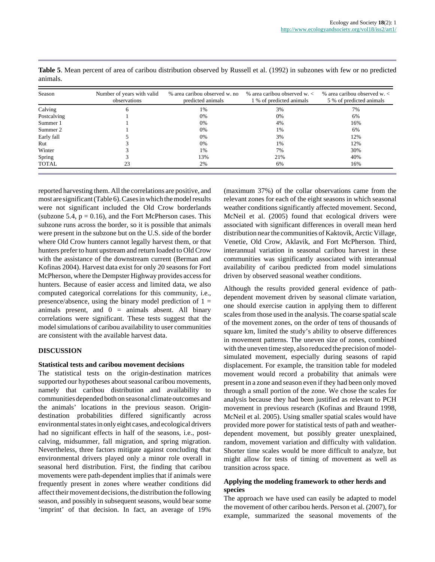| Season      | Number of years with valid<br>observations | % area caribou observed w. no<br>predicted animals | % area caribou observed $w <$<br>1 % of predicted animals | % area caribou observed $w$ .<br>5 % of predicted animals |
|-------------|--------------------------------------------|----------------------------------------------------|-----------------------------------------------------------|-----------------------------------------------------------|
| Calving     | O                                          | 1%                                                 | 3%                                                        | 7%                                                        |
| Postcalving |                                            | 0%                                                 | 0%                                                        | 6%                                                        |
| Summer 1    |                                            | 0%                                                 | 4%                                                        | 16%                                                       |
| Summer 2    |                                            | 0%                                                 | 1%                                                        | 6%                                                        |
| Early fall  |                                            | 0%                                                 | 3%                                                        | 12%                                                       |
| Rut         |                                            | 0%                                                 | 1%                                                        | 12%                                                       |
| Winter      |                                            | 1%                                                 | 7%                                                        | 30%                                                       |
| Spring      |                                            | 13%                                                | 21%                                                       | 40%                                                       |
| TOTAL       | 23                                         | 2%                                                 | 6%                                                        | 16%                                                       |

**Table 5**. Mean percent of area of caribou distribution observed by Russell et al. (1992) in subzones with few or no predicted animals.

reported harvesting them. All the correlations are positive, and most are significant (Table 6). Cases in which the model results were not significant included the Old Crow borderlands (subzone 5.4,  $p = 0.16$ ), and the Fort McPherson cases. This subzone runs across the border, so it is possible that animals were present in the subzone but on the U.S. side of the border where Old Crow hunters cannot legally harvest them, or that hunters prefer to hunt upstream and return loaded to Old Crow with the assistance of the downstream current (Berman and Kofinas 2004). Harvest data exist for only 20 seasons for Fort McPherson, where the Dempster Highway provides access for hunters. Because of easier access and limited data, we also computed categorical correlations for this community, i.e., presence/absence, using the binary model prediction of  $1 =$ animals present, and  $0 = \text{animals absent}$ . All binary correlations were significant. These tests suggest that the model simulations of caribou availability to user communities are consistent with the available harvest data.

#### **DISCUSSION**

#### **Statistical tests and caribou movement decisions**

The statistical tests on the origin-destination matrices supported our hypotheses about seasonal caribou movements, namely that caribou distribution and availability to communities depended both on seasonal climate outcomes and the animals' locations in the previous season. Origindestination probabilities differed significantly across environmental states in only eight cases, and ecological drivers had no significant effects in half of the seasons, i.e., postcalving, midsummer, fall migration, and spring migration. Nevertheless, three factors mitigate against concluding that environmental drivers played only a minor role overall in seasonal herd distribution. First, the finding that caribou movements were path-dependent implies that if animals were frequently present in zones where weather conditions did affect their movement decisions, the distribution the following season, and possibly in subsequent seasons, would bear some 'imprint' of that decision. In fact, an average of 19%

(maximum 37%) of the collar observations came from the relevant zones for each of the eight seasons in which seasonal weather conditions significantly affected movement. Second, McNeil et al. (2005) found that ecological drivers were associated with significant differences in overall mean herd distribution near the communities of Kaktovik, Arctic Village, Venetie, Old Crow, Aklavik, and Fort McPherson. Third, interannual variation in seasonal caribou harvest in these communities was significantly associated with interannual availability of caribou predicted from model simulations driven by observed seasonal weather conditions.

Although the results provided general evidence of pathdependent movement driven by seasonal climate variation, one should exercise caution in applying them to different scales from those used in the analysis. The coarse spatial scale of the movement zones, on the order of tens of thousands of square km, limited the study's ability to observe differences in movement patterns. The uneven size of zones, combined with the uneven time step, also reduced the precision of modelsimulated movement, especially during seasons of rapid displacement. For example, the transition table for modeled movement would record a probability that animals were present in a zone and season even if they had been only moved through a small portion of the zone. We chose the scales for analysis because they had been justified as relevant to PCH movement in previous research (Kofinas and Braund 1998, McNeil et al. 2005). Using smaller spatial scales would have provided more power for statistical tests of path and weatherdependent movement, but possibly greater unexplained, random, movement variation and difficulty with validation. Shorter time scales would be more difficult to analyze, but might allow for tests of timing of movement as well as transition across space.

#### **Applying the modeling framework to other herds and species**

The approach we have used can easily be adapted to model the movement of other caribou herds. Person et al. (2007), for example, summarized the seasonal movements of the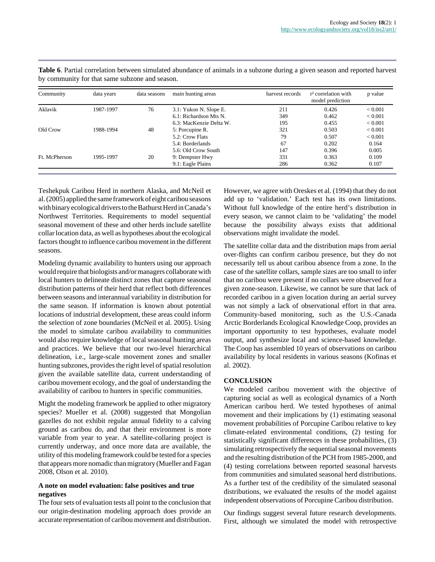| Community     | data years | data seasons | main hunting areas      | harvest records | r <sup>2</sup> correlation with<br>model prediction | p value     |
|---------------|------------|--------------|-------------------------|-----------------|-----------------------------------------------------|-------------|
| Aklavik       | 1987-1997  | 76           | 3.1: Yukon N. Slope E.  | 211             | 0.426                                               | ${}< 0.001$ |
|               |            |              | 6.1: Richardson Mts N.  | 349             | 0.462                                               | ${}< 0.001$ |
|               |            |              | 6.3: MacKenzie Delta W. | 195             | 0.455                                               | ${}< 0.001$ |
| Old Crow      | 1988-1994  | 48           | 5: Porcupine R.         | 321             | 0.503                                               | ${}< 0.001$ |
|               |            |              | 5.2: Crow Flats         | 79              | 0.507                                               | ${}< 0.001$ |
|               |            |              | 5.4: Borderlands        | 67              | 0.202                                               | 0.164       |
|               |            |              | 5.6: Old Crow South     | 147             | 0.396                                               | 0.005       |
| Ft. McPherson | 1995-1997  | 20           | 9: Dempster Hwy         | 331             | 0.363                                               | 0.109       |
|               |            |              | 9.1: Eagle Plains       | 286             | 0.362                                               | 0.107       |

**Table 6**. Partial correlation between simulated abundance of animals in a subzone during a given season and reported harvest by community for that same subzone and season.

Teshekpuk Caribou Herd in northern Alaska, and McNeil et al. (2005) applied the same framework of eight caribou seasons with binary ecological drivers to the Bathurst Herd in Canada's Northwest Territories. Requirements to model sequential seasonal movement of these and other herds include satellite collar location data, as well as hypotheses about the ecological factors thought to influence caribou movement in the different seasons.

Modeling dynamic availability to hunters using our approach would require that biologists and/or managers collaborate with local hunters to delineate distinct zones that capture seasonal distribution patterns of their herd that reflect both differences between seasons and interannual variability in distribution for the same season. If information is known about potential locations of industrial development, these areas could inform the selection of zone boundaries (McNeil et al. 2005). Using the model to simulate caribou availability to communities would also require knowledge of local seasonal hunting areas and practices. We believe that our two-level hierarchical delineation, i.e., large-scale movement zones and smaller hunting subzones, provides the right level of spatial resolution given the available satellite data, current understanding of caribou movement ecology, and the goal of understanding the availability of caribou to hunters in specific communities.

Might the modeling framework be applied to other migratory species? Mueller et al. (2008) suggested that Mongolian gazelles do not exhibit regular annual fidelity to a calving ground as caribou do, and that their environment is more variable from year to year. A satellite-collaring project is currently underway, and once more data are available, the utility of this modeling framework could be tested for a species that appears more nomadic than migratory (Mueller and Fagan 2008, Olson et al. 2010).

#### **A note on model evaluation: false positives and true negatives**

The four sets of evaluation tests all point to the conclusion that our origin-destination modeling approach does provide an accurate representation of caribou movement and distribution. However, we agree with Oreskes et al. (1994) that they do not add up to 'validation.' Each test has its own limitations. Without full knowledge of the entire herd's distribution in every season, we cannot claim to be 'validating' the model because the possibility always exists that additional observations might invalidate the model.

The satellite collar data and the distribution maps from aerial over-flights can confirm caribou presence, but they do not necessarily tell us about caribou absence from a zone. In the case of the satellite collars, sample sizes are too small to infer that no caribou were present if no collars were observed for a given zone-season. Likewise, we cannot be sure that lack of recorded caribou in a given location during an aerial survey was not simply a lack of observational effort in that area. Community-based monitoring, such as the U.S.-Canada Arctic Borderlands Ecological Knowledge Coop, provides an important opportunity to test hypotheses, evaluate model output, and synthesize local and science-based knowledge. The Coop has assembled 10 years of observations on caribou availability by local residents in various seasons (Kofinas et al. 2002).

#### **CONCLUSION**

We modeled caribou movement with the objective of capturing social as well as ecological dynamics of a North American caribou herd. We tested hypotheses of animal movement and their implications by (1) estimating seasonal movement probabilities of Porcupine Caribou relative to key climate-related environmental conditions, (2) testing for statistically significant differences in these probabilities, (3) simulating retrospectively the sequential seasonal movements and the resulting distribution of the PCH from 1985-2000, and (4) testing correlations between reported seasonal harvests from communities and simulated seasonal herd distributions. As a further test of the credibility of the simulated seasonal distributions, we evaluated the results of the model against independent observations of Porcupine Caribou distribution.

Our findings suggest several future research developments. First, although we simulated the model with retrospective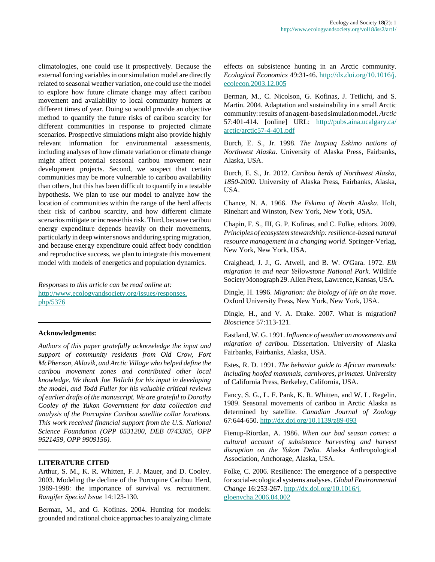climatologies, one could use it prospectively. Because the external forcing variables in our simulation model are directly related to seasonal weather variation, one could use the model to explore how future climate change may affect caribou movement and availability to local community hunters at different times of year. Doing so would provide an objective method to quantify the future risks of caribou scarcity for different communities in response to projected climate scenarios. Prospective simulations might also provide highly relevant information for environmental assessments, including analyses of how climate variation or climate change might affect potential seasonal caribou movement near development projects. Second, we suspect that certain communities may be more vulnerable to caribou availability than others, but this has been difficult to quantify in a testable hypothesis. We plan to use our model to analyze how the location of communities within the range of the herd affects their risk of caribou scarcity, and how different climate scenarios mitigate or increase this risk. Third, because caribou energy expenditure depends heavily on their movements, particularly in deep winter snows and during spring migration, and because energy expenditure could affect body condition and reproductive success, we plan to integrate this movement model with models of energetics and population dynamics.

*Responses to this article can be read online at:* [http://www.ecologyandsociety.org/issues/responses.](http://www.ecologyandsociety.org/issues/responses.php/5376) [php/5376](http://www.ecologyandsociety.org/issues/responses.php/5376)

#### **Acknowledgments:**

*Authors of this paper gratefully acknowledge the input and support of community residents from Old Crow, Fort McPherson, Aklavik, and Arctic Village who helped define the caribou movement zones and contributed other local knowledge. We thank Joe Tetlichi for his input in developing the model, and Todd Fuller for his valuable critical reviews of earlier drafts of the manuscript. We are grateful to Dorothy Cooley of the Yukon Government for data collection and analysis of the Porcupine Caribou satellite collar locations. This work received financial support from the U.S. National Science Foundation (OPP 0531200, DEB 0743385, OPP 9521459, OPP 9909156).*

#### **LITERATURE CITED**

Arthur, S. M., K. R. Whitten, F. J. Mauer, and D. Cooley. 2003. Modeling the decline of the Porcupine Caribou Herd, 1989-1998: the importance of survival vs. recruitment. *Rangifer Special Issue* 14:123-130.

Berman, M., and G. Kofinas. 2004. Hunting for models: grounded and rational choice approaches to analyzing climate effects on subsistence hunting in an Arctic community. *Ecological Economics* 49:31-46. [http://dx.doi.org/10.1016/j.](http://dx.doi.org/10.1016/j.ecolecon.2003.12.005) [ecolecon.2003.12.005](http://dx.doi.org/10.1016/j.ecolecon.2003.12.005)

Berman, M., C. Nicolson, G. Kofinas, J. Tetlichi, and S. Martin. 2004. Adaptation and sustainability in a small Arctic community: results of an agent-based simulation model. *Arctic* 57:401-414. [online] URL: [http://pubs.aina.ucalgary.ca/](http://pubs.aina.ucalgary.ca/arctic/arctic57-4-401.pdf) [arctic/arctic57-4-401.pdf](http://pubs.aina.ucalgary.ca/arctic/arctic57-4-401.pdf)

Burch, E. S., Jr. 1998. *The Inupiaq Eskimo nations of Northwest Alaska*. University of Alaska Press, Fairbanks, Alaska, USA.

Burch, E. S., Jr. 2012. *Caribou herds of Northwest Alaska, 1850-2000*. University of Alaska Press, Fairbanks, Alaska, USA.

Chance, N. A. 1966. *The Eskimo of North Alaska*. Holt, Rinehart and Winston, New York, New York, USA.

Chapin, F. S., III, G. P. Kofinas, and C. Folke, editors. 2009. *Principles of ecosystem stewardship: resilience-based natural resource management in a changing world.* Springer-Verlag, New York, New York, USA.

Craighead, J. J., G. Atwell, and B. W. O'Gara. 1972. *Elk migration in and near Yellowstone National Park*. Wildlife Society Monograph 29. Allen Press, Lawrence, Kansas, USA.

Dingle, H. 1996. *Migration: the biology of life on the move.* Oxford University Press, New York, New York, USA.

Dingle, H., and V. A. Drake. 2007. What is migration? *Bioscience* 57:113-121.

Eastland, W. G. 1991. *Influence of weather on movements and migration of caribou.* Dissertation. University of Alaska Fairbanks, Fairbanks, Alaska, USA.

Estes, R. D. 1991. *The behavior guide to African mammals: including hoofed mammals, carnivores, primates.* University of California Press, Berkeley, California, USA.

Fancy, S. G., L. F. Pank, K. R. Whitten, and W. L. Regelin. 1989. Seasonal movements of caribou in Arctic Alaska as determined by satellite. *Canadian Journal of Zoology* 67:644-650.<http://dx.doi.org/10.1139/z89-093>

Fienup-Riordan, A. 1986. *When our bad season comes: a cultural account of subsistence harvesting and harvest disruption on the Yukon Delta.* Alaska Anthropological Association, Anchorage, Alaska, USA.

Folke, C. 2006. Resilience: The emergence of a perspective for social-ecological systems analyses. *Global Environmental Change* 16:253-267. [http://dx.doi.org/10.1016/j.](http://dx.doi.org/10.1016/j.gloenvcha.2006.04.002) [gloenvcha.2006.04.002](http://dx.doi.org/10.1016/j.gloenvcha.2006.04.002)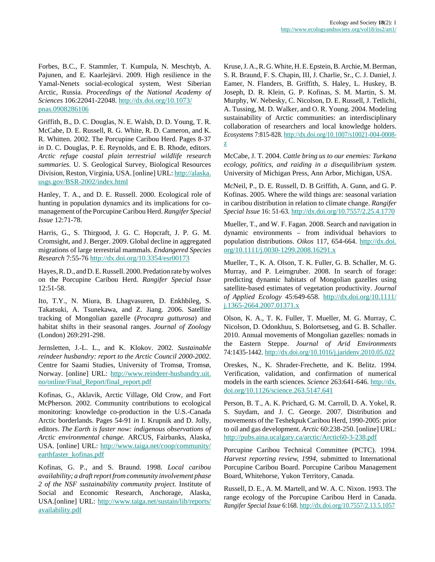Forbes, B.C., F. Stammler, T. Kumpula, N. Meschtyb, A. Pajunen, and E. Kaarlejärvi. 2009. High resilience in the Yamal-Nenets social-ecological system, West Siberian Arctic, Russia. *Proceedings of the National Academy of Sciences* 106:22041-22048. [http://dx.doi.org/10.1073/](http://dx.doi.org/10.1073/pnas.0908286106) [pnas.0908286106](http://dx.doi.org/10.1073/pnas.0908286106)

Griffith, B., D. C. Douglas, N. E. Walsh, D. D. Young, T. R. McCabe, D. E. Russell, R. G. White, R. D. Cameron, and K. R. Whitten. 2002. The Porcupine Caribou Herd. Pages 8-37 *in* D. C. Douglas, P. E. Reynolds, and E. B. Rhode, editors. *Arctic refuge coastal plain terrestrial wildlife research summaries.* U. S. Geological Survey, Biological Resources Division, Reston, Virginia, USA. [online] URL: [http://alaska.](http://alaska.usgs.gov/BSR-2002/index.html) [usgs.gov/BSR-2002/index.html](http://alaska.usgs.gov/BSR-2002/index.html)

Hanley, T. A., and D. E. Russell. 2000. Ecological role of hunting in population dynamics and its implications for comanagement of the Porcupine Caribou Herd. *Rangifer Special Issue* 12:71-78.

Harris, G., S. Thirgood, J. G. C. Hopcraft, J. P. G. M. Cromsight, and J. Berger. 2009. Global decline in aggregated migrations of large terrestrial mammals. *Endangered Species Research* 7:55-76 <http://dx.doi.org/10.3354/esr00173>

Hayes, R. D., and D. E. Russell. 2000. Predation rate by wolves on the Porcupine Caribou Herd. *Rangifer Special Issue* 12:51-58.

Ito, T.Y., N. Miura, B. Lhagvasuren, D. Enkhbileg, S. Takatsuki, A. Tsunekawa, and Z. Jiang. 2006. Satellite tracking of Mongolian gazelle (*Procapra gutturosa*) and habitat shifts in their seasonal ranges. *Journal of Zoology* (London) 269:291-298.

Jernsletten, J.-L. L., and K. Klokov. 2002. *Sustainable reindeer husbandry: report to the Arctic Council 2000-2002*. Centre for Saami Studies, University of Tromsø, Tromsø, Norway. [online] URL: [http://www.reindeer-husbandry.uit.](http://www.reindeer-husbandry.uit.no/online/Final_Report/final_report.pdf) [no/online/Final\\_Report/final\\_report.pdf](http://www.reindeer-husbandry.uit.no/online/Final_Report/final_report.pdf)

Kofinas, G., Aklavik, Arctic Village, Old Crow, and Fort McPherson. 2002. Community contributions to ecological monitoring: knowledge co-production in the U.S.-Canada Arctic borderlands. Pages 54-91 *in* I. Krupnik and D. Jolly, editors. *The Earth is faster now: indigenous observations of Arctic environmental change.* ARCUS, Fairbanks, Alaska, USA. [online] URL: [http://www.taiga.net/coop/community/](http://www.taiga.net/coop/community/earthfaster_kofinas.pdf) [earthfaster\\_kofinas.pdf](http://www.taiga.net/coop/community/earthfaster_kofinas.pdf)

Kofinas, G. P., and S. Braund. 1998. *Local caribou availability; a draft report from community involvement phase 2 of the NSF sustainability community project.* Institute of Social and Economic Research, Anchorage, Alaska, USA.[online] URL: [http://www.taiga.net/sustain/lib/reports/](http://www.taiga.net/sustain/lib/reports/availability.pdf) [availability.pdf](http://www.taiga.net/sustain/lib/reports/availability.pdf)

Kruse, J. A., R. G. White, H. E. Epstein, B. Archie, M. Berman, S. R. Braund, F. S. Chapin, III, J. Charlie, Sr., C. J. Daniel, J. Eamer, N. Flanders, B. Griffith, S. Haley, L. Huskey, B. Joseph, D. R. Klein, G. P. Kofinas, S. M. Martin, S. M. Murphy, W. Nebesky, C. Nicolson, D. E. Russell, J. Tetlichi, A. Tussing, M. D. Walker, and O. R. Young. 2004. Modeling sustainability of Arctic communities: an interdisciplinary collaboration of researchers and local knowledge holders. *Ecosystems* 7:815-828. [http://dx.doi.org/10.1007/s10021-004-0008](http://dx.doi.org/10.1007/s10021-004-0008-z) [z](http://dx.doi.org/10.1007/s10021-004-0008-z)

McCabe, J. T. 2004. *Cattle bring us to our enemies: Turkana ecology, politics, and raiding in a disequilibrium system.* University of Michigan Press, Ann Arbor, Michigan, USA.

McNeil, P., D. E. Russell, D. B Griffith, A. Gunn, and G. P. Kofinas. 2005. Where the wild things are: seasonal variation in caribou distribution in relation to climate change. *Rangifer Special Issue* 16: 51-63.<http://dx.doi.org/10.7557/2.25.4.1770>

Mueller, T., and W. F. Fagan. 2008. Search and navigation in dynamic environments – from individual behaviors to population distributions. *Oikos* 117, 654-664. [http://dx.doi.](http://dx.doi.org/10.1111/j.0030-1299.2008.16291.x) [org/10.1111/j.0030-1299.2008.16291.x](http://dx.doi.org/10.1111/j.0030-1299.2008.16291.x)

Mueller, T., K. A. Olson, T. K. Fuller, G. B. Schaller, M. G. Murray, and P. Leimgruber. 2008. In search of forage: predicting dynamic habitats of Mongolian gazelles using satellite-based estimates of vegetation productivity. *Journal of Applied Ecology* 45:649-658. [http://dx.doi.org/10.1111/](http://dx.doi.org/10.1111/j.1365-2664.2007.01371.x) [j.1365-2664.2007.01371.x](http://dx.doi.org/10.1111/j.1365-2664.2007.01371.x)

Olson, K. A., T. K. Fuller, T. Mueller, M. G. Murray, C. Nicolson, D. Odonkhuu, S. Bolortsetseg, and G. B. Schaller. 2010. Annual movements of Mongolian gazelles: nomads in the Eastern Steppe. *Journal of Arid Environments* 74:1435-1442. <http://dx.doi.org/10.1016/j.jaridenv.2010.05.022>

Oreskes, N., K. Shrader-Frechette, and K. Belitz. 1994. Verification, validation, and confirmation of numerical models in the earth sciences. *Science* 263:641-646. [http://dx.](http://dx.doi.org/10.1126/science.263.5147.641) [doi.org/10.1126/science.263.5147.641](http://dx.doi.org/10.1126/science.263.5147.641)

Person, B. T., A. K. Prichard, G. M. Carroll, D. A. Yokel, R. S. Suydam, and J. C. George. 2007. Distribution and movements of the Teshekpuk Caribou Herd, 1990-2005: prior to oil and gas development. *Arctic* 60:238-250. [online] URL: <http://pubs.aina.ucalgary.ca/arctic/Arctic60-3-238.pdf>

Porcupine Caribou Technical Committee (PCTC). 1994. *Harvest reporting review, 1994*, submitted to International Porcupine Caribou Board. Porcupine Caribou Management Board, Whitehorse, Yukon Territory, Canada.

Russell, D. E., A. M. Martell, and W. A. C. Nixon. 1993. The range ecology of the Porcupine Caribou Herd in Canada. *Rangifer Special Issue* 6:168. <http://dx.doi.org/10.7557/2.13.5.1057>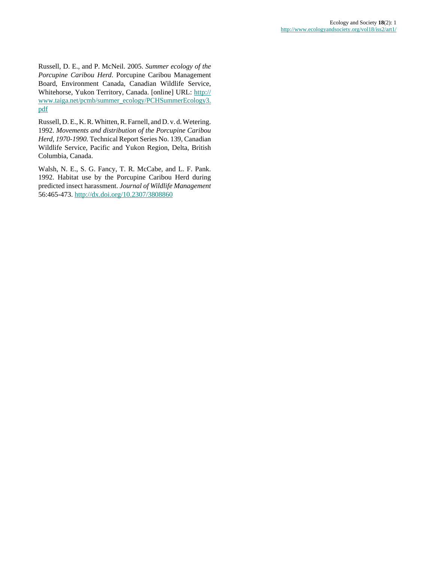Russell, D. E., and P. McNeil. 2005. *Summer ecology of the Porcupine Caribou Herd*. Porcupine Caribou Management Board, Environment Canada, Canadian Wildlife Service, Whitehorse, Yukon Territory, Canada. [online] URL: [http://](http://www.taiga.net/pcmb/summer_ecology/PCHSummerEcology3.pdf) [www.taiga.net/pcmb/summer\\_ecology/PCHSummerEcology3.](http://www.taiga.net/pcmb/summer_ecology/PCHSummerEcology3.pdf) [pdf](http://www.taiga.net/pcmb/summer_ecology/PCHSummerEcology3.pdf)

Russell, D. E., K. R. Whitten, R. Farnell, and D. v. d. Wetering. 1992. *Movements and distribution of the Porcupine Caribou Herd, 1970-1990.* Technical Report Series No. 139, Canadian Wildlife Service, Pacific and Yukon Region, Delta, British Columbia, Canada.

Walsh, N. E., S. G. Fancy, T. R. McCabe, and L. F. Pank. 1992. Habitat use by the Porcupine Caribou Herd during predicted insect harassment. *Journal of Wildlife Management* 56:465-473.<http://dx.doi.org/10.2307/3808860>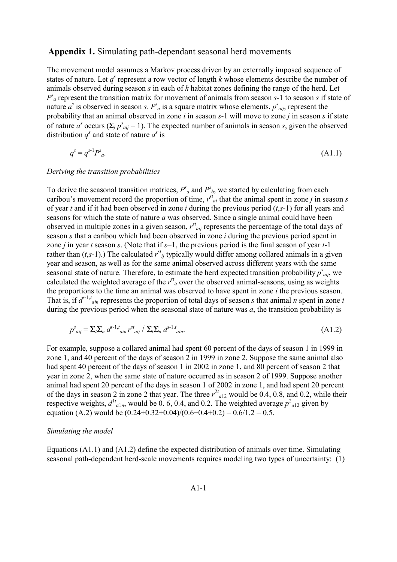# Appendix 1. Simulating path-dependant seasonal herd movements

The movement model assumes a Markov process driven by an externally imposed sequence of states of nature. Let  $q^s$  represent a row vector of length  $k$  whose elements describe the number of animals observed during season *s* in each of *k* habitat zones defining the range of the herd. Let  $P^s$ <sup>*a*</sup> represent the transition matrix for movement of animals from season  $s$ -1 to season  $s$  if state of nature  $a^s$  is observed in season *s*.  $P^s{}_a$  is a square matrix whose elements,  $p^s{}_{aij}$ , represent the probability that an animal observed in zone *i* in season *s*-1 will move to zone *j* in season *s* if state of nature  $a^s$  occurs ( $\sum_j p^s_{aij} = 1$ ). The expected number of animals in season *s*, given the observed distribution  $q^s$  and state of nature  $a^s$  is

$$
q^s = q^{s-1} P^s{}_a. \tag{A1.1}
$$

# *Deriving the transition probabilities*

To derive the seasonal transition matrices,  $P^s{}_a$  and  $P^s{}_b$ , we started by calculating from each caribou's movement record the proportion of time,  $r^{st}_{ai}$  that the animal spent in zone *j* in season *s* of year *t* and if it had been observed in zone *i* during the previous period (*t*,*s*-1) for all years and seasons for which the state of nature *a* was observed. Since a single animal could have been observed in multiple zones in a given season,  $r<sup>st</sup>_{aij}$  represents the percentage of the total days of season *s* that a caribou which had been observed in zone *i* during the previous period spent in zone *j* in year *t* season *s*. (Note that if *s*=1, the previous period is the final season of year *t*-1 rather than  $(t,s-1)$ .) The calculated  $r^{st}$  typically would differ among collared animals in a given year and season, as well as for the same animal observed across different years with the same seasonal state of nature. Therefore, to estimate the herd expected transition probability  $p^{s}_{aij}$ , we calculated the weighted average of the  $r^{st}_{ij}$  over the observed animal-seasons, using as weights the proportions to the time an animal was observed to have spent in zone *i* the previous season. That is, if  $d^{s-1,t}$  *ain* represents the proportion of total days of season *s* that animal *n* spent in zone *i* during the previous period when the seasonal state of nature was *a*, the transition probability is

$$
p^{s}_{\text{aij}} = \sum_{l} \sum_{n} d^{s-l, t} \sin r^{st} \sin \left( \sum_{l} \sum_{n} d^{s-l, t} \sin \right) \tag{A1.2}
$$

For example, suppose a collared animal had spent 60 percent of the days of season 1 in 1999 in zone 1, and 40 percent of the days of season 2 in 1999 in zone 2. Suppose the same animal also had spent 40 percent of the days of season 1 in 2002 in zone 1, and 80 percent of season 2 that year in zone 2, when the same state of nature occurred as in season 2 of 1999. Suppose another animal had spent 20 percent of the days in season 1 of 2002 in zone 1, and had spent 20 percent of the days in season 2 in zone 2 that year. The three  $r^{2t}$ <sub>a12</sub> would be 0.4, 0.8, and 0.2, while their respective weights,  $d_{a1n}$ , would be 0.6, 0.4, and 0.2. The weighted average  $p_{a12}^2$  given by equation (A.2) would be  $(0.24+0.32+0.04)/(0.6+0.4+0.2) = 0.6/1.2 = 0.5$ .

# *Simulating the model*

Equations (A1.1) and (A1.2) define the expected distribution of animals over time. Simulating seasonal path-dependent herd-scale movements requires modeling two types of uncertainty: (1)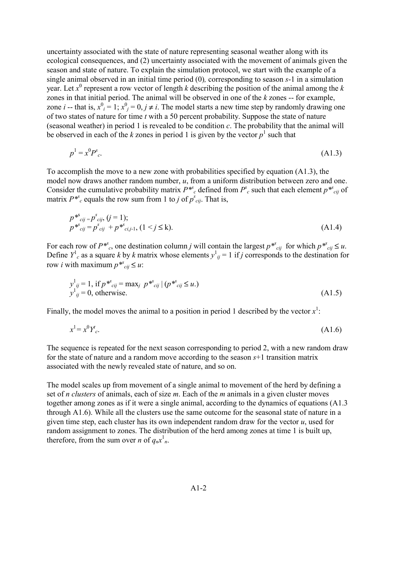uncertainty associated with the state of nature representing seasonal weather along with its ecological consequences, and (2) uncertainty associated with the movement of animals given the season and state of nature. To explain the simulation protocol, we start with the example of a single animal observed in an initial time period (0)*,* corresponding to season *s*-1 in a simulation year. Let  $x^0$  represent a row vector of length *k* describing the position of the animal among the *k* zones in that initial period. The animal will be observed in one of the *k* zones -- for example, zone *i* -- that is,  $x^0_i = 1$ ;  $x^0_j = 0$ ,  $j \neq i$ . The model starts a new time step by randomly drawing one of two states of nature for time *t* with a 50 percent probability. Suppose the state of nature (seasonal weather) in period 1 is revealed to be condition *c*. The probability that the animal will be observed in each of the  $k$  zones in period 1 is given by the vector  $p<sup>1</sup>$  such that

$$
p^1 = x^0 P^s{}_c. \tag{A1.3}
$$

To accomplish the move to a new zone with probabilities specified by equation (A1.3), the model now draws another random number, *u*, from a uniform distribution between zero and one. Consider the cumulative probability matrix  $P^{*s}{}_{c}$  defined from  $P^{s}{}_{c}$  such that each element  $p^{*s}{}_{cij}$  of matrix  $P^{*s}$ <sup>*c*</sup> equals the row sum from 1 to *j* of  $p^{s}$ <sub>*cij*</sub>. That is,

$$
p^{*s}_{\text{cij}} = p^s_{\text{cij}}, (j = 1);
$$
  
\n
$$
p^{*s}_{\text{cij}} = p^s_{\text{cij}} + p^{*s}_{\text{cij-1}}, (1 \le j \le k).
$$
\n(A1.4)

For each row of  $P^{*s}$ , one destination column *j* will contain the largest  $p^{*s}$ <sub>*cij*</sub> for which  $p^{*s}$ <sub>*cij*</sub>  $\leq u$ . Define  $Y^1$ <sub>c</sub> as a square *k* by *k* matrix whose elements  $y^1$ <sub>*ij*</sub> = 1 if *j* corresponds to the destination for row *i* with maximum  $p^{*s}{}_{cij} \leq u$ :

$$
y_{ij}^{1} = 1, \text{ if } p^{*s}{}_{cij} = \max_{j} p^{*s}{}_{cij} \mid (p^{*s}{}_{cij} \le u.)
$$
  
\n
$$
y_{ij}^{1} = 0, \text{ otherwise.}
$$
\n(A1.5)

Finally, the model moves the animal to a position in period 1 described by the vector  $x^1$ .

$$
x^1 = x^0 Y_c'.
$$
 (A1.6)

The sequence is repeated for the next season corresponding to period 2, with a new random draw for the state of nature and a random move according to the season *s*+1 transition matrix associated with the newly revealed state of nature, and so on.

The model scales up from movement of a single animal to movement of the herd by defining a set of *n clusters* of animals, each of size *m*. Each of the *m* animals in a given cluster moves together among zones as if it were a single animal, according to the dynamics of equations (A1.3 through A1.6). While all the clusters use the same outcome for the seasonal state of nature in a given time step, each cluster has its own independent random draw for the vector *u*, used for random assignment to zones. The distribution of the herd among zones at time 1 is built up, therefore, from the sum over *n* of  $q_n x_n^1$ .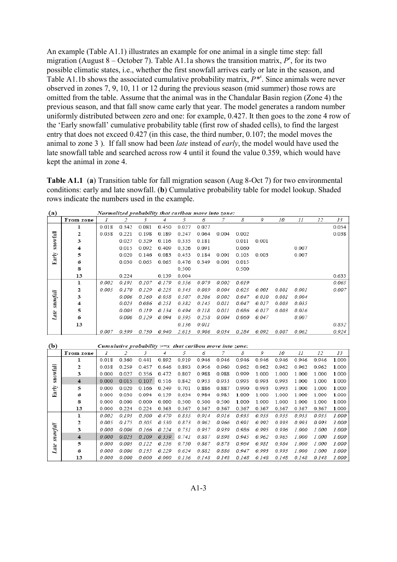An example (Table A1.1) illustrates an example for one animal in a single time step: fall migration (August 8 – October 7). Table A1.1a shows the transition matrix,  $P^s$ , for its two possible climatic states, i.e., whether the first snowfall arrives early or late in the season, and Table A1.1b shows the associated cumulative probability matrix, *P\*<sup>s</sup>* . Since animals were never observed in zones 7, 9, 10, 11 or 12 during the previous season (mid summer) those rows are omitted from the table. Assume that the animal was in the Chandalar Basin region (Zone 4) the previous season, and that fall snow came early that year. The model generates a random number uniformly distributed between zero and one: for example, 0.427. It then goes to the zone 4 row of the 'Early snowfall' cumulative probability table (first row of shaded cells), to find the largest entry that does not exceed 0.427 (in this case, the third number, 0.107; the model moves the animal to zone 3 ). If fall snow had been *late* instead of *early*, the model would have used the late snowfall table and searched across row 4 until it found the value 0.359, which would have kept the animal in zone 4.

**Table A1.1** (**a**) Transition table for fall migration season (Aug 8-Oct 7) for two environmental conditions: early and late snowfall. (**b**) Cumulative probability table for model lookup. Shaded rows indicate the numbers used in the example.

| (a)      |           |       |       |       |       | Normalized probability that caribou move into zone: |       |       |       |       |       |       |    |       |
|----------|-----------|-------|-------|-------|-------|-----------------------------------------------------|-------|-------|-------|-------|-------|-------|----|-------|
|          | From zone |       |       | 3     | 4     | 5                                                   | 6     |       | 8     | 9     | 10    | 11    | 12 | 13    |
|          |           | 0.018 | 0.342 | 0.081 | 0.450 | 0.027                                               | 0.027 |       |       |       |       |       |    | 0.054 |
|          | 2         | 0.038 | 0.221 | 0.198 | 0.189 | 0.247                                               | 0.064 | 0.004 | 0.002 |       |       |       |    | 0.038 |
| snowfall | 3         |       | 0.027 | 0.329 | 0.116 | 0.335                                               | 0.181 |       | 0.011 | 0.001 |       |       |    |       |
|          | 4         |       | 0.015 | 0.092 | 0.409 | 0.326                                               | 0.091 |       | 0.060 |       |       | 0.007 |    |       |
| Early    | 5         |       | 0.020 | 0.146 | 0.083 | 0.453                                               | 0.184 | 0.001 | 0.103 | 0.003 |       | 0.007 |    |       |
|          | 6         |       | 0.030 | 0.065 | 0.065 | 0.476                                               | 0.349 | 0.001 | 0.015 |       |       |       |    |       |
|          | 8         |       |       |       |       | 0.500                                               |       |       | 0.500 |       |       |       |    |       |
|          | 13        |       | 0.224 |       | 0.139 | 0.004                                               |       |       |       |       |       |       |    | 0.633 |
|          | ı         | 0.002 | 0.191 | 0.107 | 0.179 | 0.356                                               | 0.079 | 0.002 | 0.019 |       |       |       |    | 0.065 |
|          | 2         | 0.005 | 0.170 | 0.129 | 0.225 | 0.343                                               | 0.089 | 0.004 | 0.025 | 0.001 | 0.001 | 0.001 |    | 0.007 |
| snovfall | 3         |       | 0.006 | 0.160 | 0.058 | 0.507                                               | 0.206 | 0.002 | 0.047 | 0.010 | 0.001 | 0.004 |    |       |
|          | 4         |       | 0.023 | 0.086 | 0.251 | 0.382                                               | 0.145 | 0.011 | 0.047 | 0.017 | 0.003 | 0.035 |    |       |
|          | 5         |       | 0.003 | 0.119 | 0.134 | 0.494                                               | 0.118 | 0.011 | 0.086 | 0.017 | 0.003 | 0.016 |    |       |
| Late     | 6         |       | 0.006 | 0.129 | 0.094 | 0.395                                               | 0.258 | 0.004 | 0.060 | 0.047 |       | 0.007 |    |       |
|          | 13        |       |       |       |       | 0.136                                               | 0.011 |       |       |       |       |       |    | 0.852 |
|          |           | 0.007 | 0.399 | 0.730 | 0.940 | 2.613                                               | 0.906 | 0.034 | 0.284 | 0.092 | 0.007 | 0.062 |    | 0.924 |

|  | Normalized probability that caribou move into zone. |  |  |
|--|-----------------------------------------------------|--|--|
|--|-----------------------------------------------------|--|--|

| (b)      |           |       |       |       |       | Cumulative probability $>=x$ that caribou move into zone: |       |       |       |       |       |       |       |       |
|----------|-----------|-------|-------|-------|-------|-----------------------------------------------------------|-------|-------|-------|-------|-------|-------|-------|-------|
|          | From zone |       |       | 3     | 4     | 5                                                         | 6     |       | 8     | 9     | 10    | 11    | 12    | 13    |
|          | ı         | 0.018 | 0.360 | 0.441 | 0.892 | 0.919                                                     | 0.946 | 0.946 | 0.946 | 0.946 | 0.946 | 0.946 | 0.946 | 1.000 |
|          | 2         | 0.038 | 0.259 | 0.457 | 0.646 | 0.893                                                     | 0.956 | 0.960 | 0.962 | 0.962 | 0.962 | 0.962 | 0.962 | 1.000 |
| snowfall | 3         | 0.000 | 0.027 | 0.356 | 0.472 | 0.807                                                     | 0.988 | 0.988 | 0.999 | 1.000 | 1.000 | 1.000 | 1.000 | 1.000 |
|          | 4         | 0.000 | 0.015 | 0.107 | 0.516 | 0.842                                                     | 0.933 | 0.933 | 0.993 | 0.993 | 0.993 | 1.000 | 1.000 | 1.000 |
| Early    | 5         | 0.000 | 0.020 | 0.166 | 0.249 | 0.701                                                     | 0.886 | 0.887 | 0.990 | 0.993 | 0.993 | 1.000 | 1.000 | 1.000 |
|          | 6         | 0.000 | 0.030 | 0.094 | 0.159 | 0.634                                                     | 0.984 | 0.985 | 1.000 | 1.000 | 1.000 | 1.000 | 1.000 | 1.000 |
|          | 8         | 0.000 | 0.000 | 0.000 | 0.000 | 0.500                                                     | 0.500 | 0.500 | 1.000 | 1.000 | 1.000 | 1.000 | 1.000 | 1.000 |
|          | 13        | 0.000 | 0.224 | 0.224 | 0.363 | 0.367                                                     | 0.367 | 0.367 | 0.367 | 0.367 | 0.367 | 0.367 | 0.367 | 1.000 |
|          | ı         | 0.002 | 0 193 | 0.300 | 0.479 | 0.835                                                     | 0.914 | 0.916 | 0.935 | 0.935 | 0.935 | 0.935 | 0935  | 1.000 |
|          | 2         | 0.005 | 0.175 | 0.305 | 0.530 | 0.873                                                     | 0.962 | 0.966 | 0.991 | 0.992 | 0.993 | 0.993 | 0.993 | 1.000 |
| snowfall | 3         | 0.000 | 0.006 | 0.166 | 0.224 | 0.731                                                     | 0.937 | 0.939 | 0.986 | 0.995 | 0.996 | 1.000 | 1.000 | 1.000 |
|          | 4         | 0.000 | 0.023 | 0.109 | 0.359 | 0.741                                                     | 0.887 | 0.898 | 0.945 | 0.962 | 0.965 | 1.000 | 1.000 | 1.000 |
| ate      | 5         | 0.000 | 0.003 | 0.122 | 0.256 | 0.750                                                     | 0.867 | 0.878 | 0.964 | 0.981 | 0.984 | 1.000 | 1.000 | 1.000 |
| L        | 6         | 0.000 | 0.006 | 0.135 | 0.229 | 0.624                                                     | 0.882 | 0.886 | 0.947 | 0.993 | 0.993 | 1.000 | 1.000 | 1.000 |
|          | 13        | 0.000 | 0.000 | 0.000 | 0.000 | 0.136                                                     | 0.148 | 0.148 | 0.148 | 0.148 | 0.148 | 0.148 | 0.148 | 1.000 |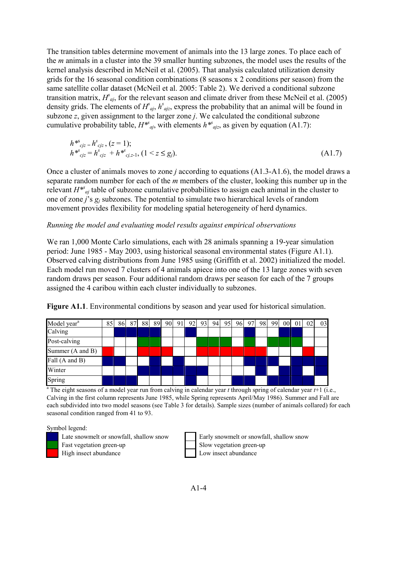The transition tables determine movement of animals into the 13 large zones. To place each of the *m* animals in a cluster into the 39 smaller hunting subzones, the model uses the results of the kernel analysis described in McNeil et al. (2005). That analysis calculated utilization density grids for the 16 seasonal condition combinations (8 seasons x 2 conditions per season) from the same satellite collar dataset (McNeil et al. 2005: Table 2). We derived a conditional subzone transition matrix,  $H_{qj}^s$ , for the relevant season and climate driver from these McNeil et al. (2005) density grids. The elements of  $H^s_{qj}$ ,  $h^s_{qjz}$ , express the probability that an animal will be found in subzone *z*, given assignment to the larger zone *j*. We calculated the conditional subzone cumulative probability table,  $H^{*s}$ <sub>*aj*</sub>, with elements  $h^{*s}$ <sub>*ajz*</sub>, as given by equation (A1.7):

$$
h^{*s}{}_{c j z} = h^{s}{}_{c j z}, (z = 1);
$$
  
\n
$$
h^{*s}{}_{c j z} = h^{s}{}_{c j z} + h^{*s}{}_{c j, z-1}, (1 < z \le g_j).
$$
  
\n(A1.7)

Once a cluster of animals moves to zone *j* according to equations (A1.3-A1.6), the model draws a separate random number for each of the *m* members of the cluster, looking this number up in the relevant  $H^{*s}$ <sub>*aj*</sub> table of subzone cumulative probabilities to assign each animal in the cluster to one of zone *j*'s *gj* subzones. The potential to simulate two hierarchical levels of random movement provides flexibility for modeling spatial heterogeneity of herd dynamics.

# *Running the model and evaluating model results against empirical observations*

We ran 1,000 Monte Carlo simulations, each with 28 animals spanning a 19-year simulation period: June 1985 - May 2003, using historical seasonal environmental states (Figure A1.1). Observed calving distributions from June 1985 using (Griffith et al. 2002) initialized the model. Each model run moved 7 clusters of 4 animals apiece into one of the 13 large zones with seven random draws per season. Four additional random draws per season for each of the 7 groups assigned the 4 caribou within each cluster individually to subzones.

Figure A1.1. Environmental conditions by season and year used for historical simulation.

| Model year <sup>a</sup> | 85 | 86 | 87 | 88 | 89 | 90 91 |  |  | 92 93 94 95 96 97 98 99 |  | 00 <sup>1</sup> | 01 | 02 | 03 |
|-------------------------|----|----|----|----|----|-------|--|--|-------------------------|--|-----------------|----|----|----|
| Calving                 |    |    |    |    |    |       |  |  |                         |  |                 |    |    |    |
| Post-calving            |    |    |    |    |    |       |  |  |                         |  |                 |    |    |    |
| Summer (A and B)        |    |    |    |    |    |       |  |  |                         |  |                 |    |    |    |
| Fall (A and B)          |    |    |    |    |    |       |  |  |                         |  |                 |    |    |    |
| Winter                  |    |    |    |    |    |       |  |  |                         |  |                 |    |    |    |
| Spring                  |    |    |    |    |    |       |  |  |                         |  |                 |    |    |    |

<sup>a</sup> The eight seasons of a model year run from calving in calendar year  $t$  through spring of calendar year  $t+1$  (i.e., Calving in the first column represents June 1985, while Spring represents April/May 1986). Summer and Fall are each subdivided into two model seasons (see Table 3 for details). Sample sizes (number of animals collared) for each seasonal condition ranged from 41 to 93.

# Symbol legend:

- Late snowmelt or snowfall, shallow snow Early snowmelt or snowfall, shallow snow
- 
- 

Fast vegetation green-up Slow vegetation green-up High insect abundance Low insect abundance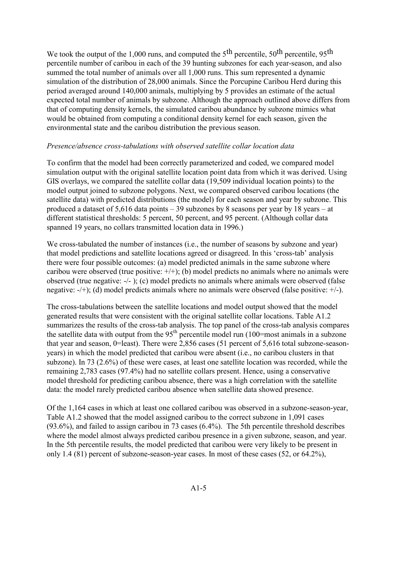We took the output of the 1,000 runs, and computed the  $5<sup>th</sup>$  percentile,  $50<sup>th</sup>$  percentile,  $95<sup>th</sup>$ percentile number of caribou in each of the 39 hunting subzones for each year-season, and also summed the total number of animals over all 1,000 runs. This sum represented a dynamic simulation of the distribution of 28,000 animals. Since the Porcupine Caribou Herd during this period averaged around 140,000 animals, multiplying by 5 provides an estimate of the actual expected total number of animals by subzone. Although the approach outlined above differs from that of computing density kernels, the simulated caribou abundance by subzone mimics what would be obtained from computing a conditional density kernel for each season, given the environmental state and the caribou distribution the previous season.

# *Presence/absence cross-tabulations with observed satellite collar location data*

To confirm that the model had been correctly parameterized and coded, we compared model simulation output with the original satellite location point data from which it was derived. Using GIS overlays, we compared the satellite collar data (19,509 individual location points) to the model output joined to subzone polygons. Next, we compared observed caribou locations (the satellite data) with predicted distributions (the model) for each season and year by subzone. This produced a dataset of 5,616 data points – 39 subzones by 8 seasons per year by 18 years – at different statistical thresholds: 5 percent, 50 percent, and 95 percent. (Although collar data spanned 19 years, no collars transmitted location data in 1996.)

We cross-tabulated the number of instances (i.e., the number of seasons by subzone and year) that model predictions and satellite locations agreed or disagreed. In this 'cross-tab' analysis there were four possible outcomes: (a) model predicted animals in the same subzone where caribou were observed (true positive:  $+$ ); (b) model predicts no animals where no animals were observed (true negative: -/- ); (c) model predicts no animals where animals were observed (false negative: -/+); (d) model predicts animals where no animals were observed (false positive: +/-).

The cross-tabulations between the satellite locations and model output showed that the model generated results that were consistent with the original satellite collar locations. Table A1.2 summarizes the results of the cross-tab analysis. The top panel of the cross-tab analysis compares the satellite data with output from the 95<sup>th</sup> percentile model run (100=most animals in a subzone that year and season, 0=least). There were 2,856 cases (51 percent of 5,616 total subzone-seasonyears) in which the model predicted that caribou were absent (i.e., no caribou clusters in that subzone). In 73 (2.6%) of these were cases, at least one satellite location was recorded, while the remaining 2,783 cases (97.4%) had no satellite collars present. Hence, using a conservative model threshold for predicting caribou absence, there was a high correlation with the satellite data: the model rarely predicted caribou absence when satellite data showed presence.

Of the 1,164 cases in which at least one collared caribou was observed in a subzone-season-year, Table A1.2 showed that the model assigned caribou to the correct subzone in 1,091 cases (93.6%), and failed to assign caribou in 73 cases (6.4%). The 5th percentile threshold describes where the model almost always predicted caribou presence in a given subzone, season, and year. In the 5th percentile results, the model predicted that caribou were very likely to be present in only 1.4 (81) percent of subzone-season-year cases. In most of these cases (52, or 64.2%),